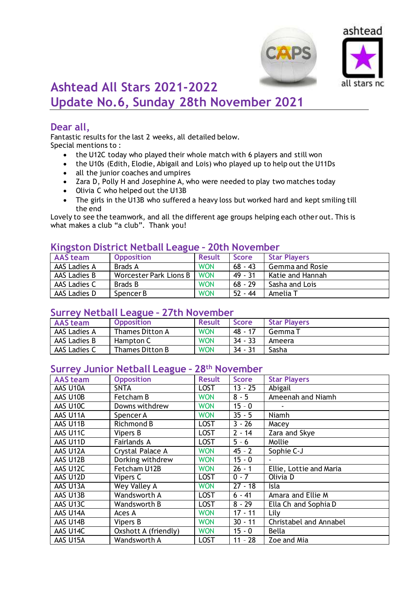



# **Ashtead All Stars 2021-2022 Update No.6, Sunday 28th November 2021**

# **Dear all,**

Fantastic results for the last 2 weeks, all detailed below. Special mentions to :

- the U12C today who played their whole match with 6 players and still won
- the U10s (Edith, Elodie, Abigail and Lois) who played up to help out the U11Ds
- all the junior coaches and umpires
- Zara D, Polly H and Josephine A, who were needed to play two matches today
- Olivia C who helped out the U13B
- The girls in the U13B who suffered a heavy loss but worked hard and kept smiling till the end

Lovely to see the teamwork, and all the different age groups helping each other out. This is what makes a club "a club". Thank you!

# **Kingston District Netball League – 20th November**

| <b>AAS team</b> | <b>Opposition</b>      | <b>Result</b> | <b>Score</b> | <b>Star Players</b>    |
|-----------------|------------------------|---------------|--------------|------------------------|
| AAS Ladies A    | Brads A                | <b>WON</b>    | $68 - 43$    | <b>Gemma and Rosie</b> |
| AAS Ladies B    | Worcester Park Lions B | <b>WON</b>    | $49 - 31$    | Katie and Hannah       |
| AAS Ladies C    | Brads B                | <b>WON</b>    | $68 - 29$    | Sasha and Lois         |
| AAS Ladies D    | Spencer B              | <b>WON</b>    | $52 - 44$    | Amelia T               |

#### **Surrey Netball League – 27th November**

| <b>AAS team</b> | <b>Opposition</b> | <b>Result</b> | <b>Score</b> | <b>Star Players</b> |
|-----------------|-------------------|---------------|--------------|---------------------|
| AAS Ladies A    | Thames Ditton A   | <b>WON</b>    | 48 - 17      | Gemma T             |
| AAS Ladies B    | Hampton C         | <b>WON</b>    | $34 - 33$    | Ameera              |
| AAS Ladies C    | Thames Ditton B   | <b>WON</b>    | $34 - 31$    | Sasha               |

## **Surrey Junior Netball League – 28th November**

| <b>AAS</b> team      | <b>Opposition</b>    | <b>Result</b> | <b>Score</b> | <b>Star Players</b>     |
|----------------------|----------------------|---------------|--------------|-------------------------|
|                      |                      |               |              |                         |
| AAS U10A             | <b>SNTA</b>          | <b>LOST</b>   | $13 - 25$    | Abigail                 |
| AAS U10B             | Fetcham B            | <b>WON</b>    | $8 - 5$      | Ameenah and Niamh       |
| AAS U10C             | Downs withdrew       | <b>WON</b>    | $15 - 0$     |                         |
| AAS U11A             | Spencer A            | <b>WON</b>    | $35 - 5$     | Niamh                   |
| AAS U11B             | Richmond B           | <b>LOST</b>   | $3 - 26$     | Macey                   |
| AAS U11C             | Vipers B             | <b>LOST</b>   | $2 - 14$     | Zara and Skye           |
| AAS U11D             | Fairlands A          | <b>LOST</b>   | $5 - 6$      | Mollie                  |
| AAS U12A             | Crystal Palace A     | <b>WON</b>    | $45 - 2$     | Sophie C-J              |
| AAS U12B             | Dorking withdrew     | <b>WON</b>    | $15 - 0$     |                         |
| AAS U12C             | Fetcham U12B         | <b>WON</b>    | $26 - 1$     | Ellie, Lottie and Maria |
| AAS U12D             | Vipers C             | <b>LOST</b>   | $0 - 7$      | Olivia D                |
| AAS U13A             | Wey Valley A         | <b>WON</b>    | $27 - 18$    | Isla                    |
| AAS U13B             | Wandsworth A         | <b>LOST</b>   | $6 - 41$     | Amara and Ellie M       |
| AAS U <sub>13C</sub> | Wandsworth B         | <b>LOST</b>   | $8 - 29$     | Ella Ch and Sophia D    |
| AAS U14A             | Aces A               | <b>WON</b>    | $17 - 11$    | Lily                    |
| AAS U14B             | Vipers B             | <b>WON</b>    | $30 - 11$    | Christabel and Annabel  |
| AAS U14C             | Oxshott A (friendly) | <b>WON</b>    | $15 - 0$     | <b>Bella</b>            |
| AAS U15A             | Wandsworth A         | <b>LOST</b>   | $11 - 28$    | Zoe and Mia             |